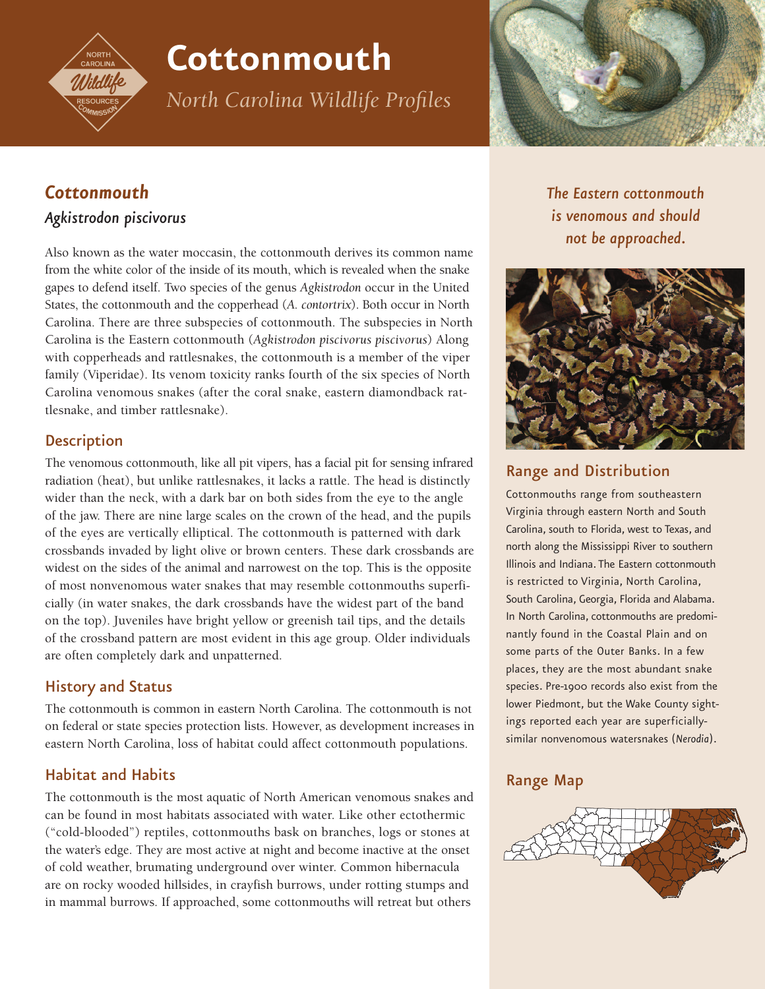

# **Cottonmouth**

*North Carolina Wildlife Profiles*



# *Cottonmouth*

## *Agkistrodon piscivorus*

Also known as the water moccasin, the cottonmouth derives its common name from the white color of the inside of its mouth, which is revealed when the snake gapes to defend itself. Two species of the genus *Agkistrodon* occur in the United States, the cottonmouth and the copperhead (*A. contortrix*). Both occur in North Carolina. There are three subspecies of cottonmouth. The subspecies in North Carolina is the Eastern cottonmouth (*Agkistrodon piscivorus piscivorus*) Along with copperheads and rattlesnakes, the cottonmouth is a member of the viper family (Viperidae). Its venom toxicity ranks fourth of the six species of North Carolina venomous snakes (after the coral snake, eastern diamondback rattlesnake, and timber rattlesnake).

## **Description**

The venomous cottonmouth, like all pit vipers, has a facial pit for sensing infrared radiation (heat), but unlike rattlesnakes, it lacks a rattle. The head is distinctly wider than the neck, with a dark bar on both sides from the eye to the angle of the jaw. There are nine large scales on the crown of the head, and the pupils of the eyes are vertically elliptical. The cottonmouth is patterned with dark crossbands invaded by light olive or brown centers. These dark crossbands are widest on the sides of the animal and narrowest on the top. This is the opposite of most nonvenomous water snakes that may resemble cottonmouths superficially (in water snakes, the dark crossbands have the widest part of the band on the top). Juveniles have bright yellow or greenish tail tips, and the details of the crossband pattern are most evident in this age group. Older individuals are often completely dark and unpatterned.

## History and Status

The cottonmouth is common in eastern North Carolina. The cottonmouth is not on federal or state species protection lists. However, as development increases in eastern North Carolina, loss of habitat could affect cottonmouth populations.

## Habitat and Habits

The cottonmouth is the most aquatic of North American venomous snakes and can be found in most habitats associated with water. Like other ectothermic ("cold-blooded") reptiles, cottonmouths bask on branches, logs or stones at the water's edge. They are most active at night and become inactive at the onset of cold weather, brumating underground over winter. Common hibernacula are on rocky wooded hillsides, in crayfish burrows, under rotting stumps and in mammal burrows. If approached, some cottonmouths will retreat but others

*The Eastern cottonmouth is venomous and should not be approached.*



## Range and Distribution

Cottonmouths range from southeastern Virginia through eastern North and South Carolina, south to Florida, west to Texas, and north along the Mississippi River to southern Illinois and Indiana. The Eastern cottonmouth is restricted to Virginia, North Carolina, South Carolina, Georgia, Florida and Alabama. In North Carolina, cottonmouths are predominantly found in the Coastal Plain and on some parts of the Outer Banks. In a few places, they are the most abundant snake species. Pre-1900 records also exist from the lower Piedmont, but the Wake County sightings reported each year are superficiallysimilar nonvenomous watersnakes (*Nerodia*).

## Range Map

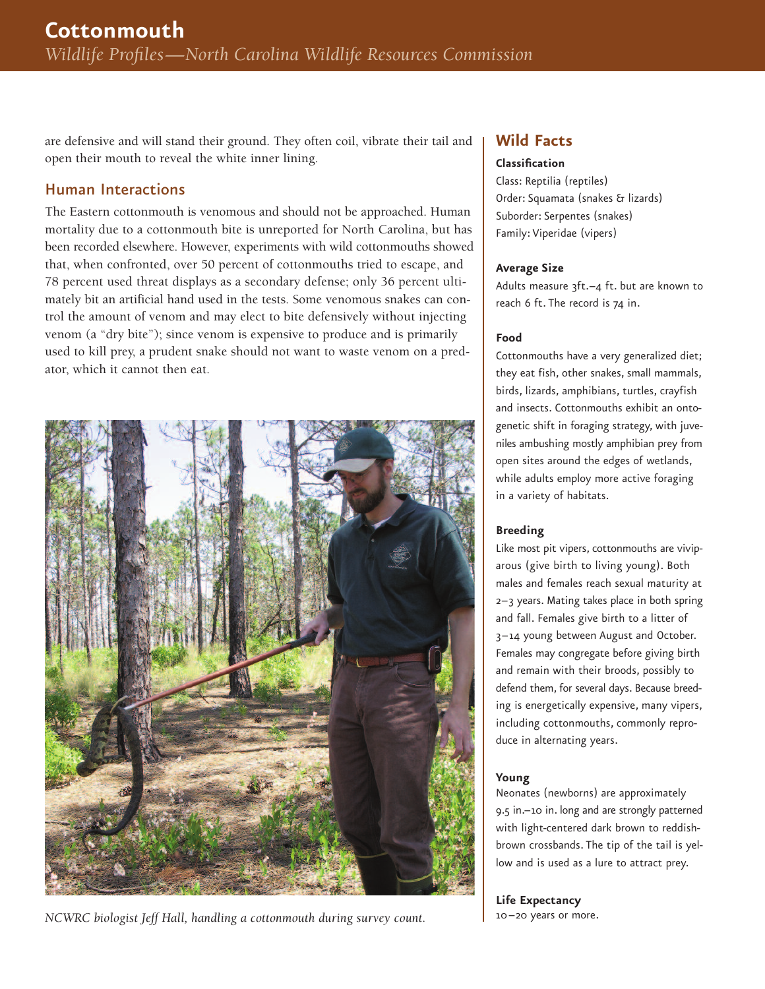are defensive and will stand their ground. They often coil, vibrate their tail and open their mouth to reveal the white inner lining.

## Human Interactions

The Eastern cottonmouth is venomous and should not be approached. Human mortality due to a cottonmouth bite is unreported for North Carolina, but has been recorded elsewhere. However, experiments with wild cottonmouths showed that, when confronted, over 50 percent of cottonmouths tried to escape, and 78 percent used threat displays as a secondary defense; only 36 percent ultimately bit an artificial hand used in the tests. Some venomous snakes can control the amount of venom and may elect to bite defensively without injecting venom (a "dry bite"); since venom is expensive to produce and is primarily used to kill prey, a prudent snake should not want to waste venom on a predator, which it cannot then eat.



*NCWRC biologist Jeff Hall, handling a cottonmouth during survey count.*

## **Wild Facts**

#### **Classification**

Class: Reptilia (reptiles) Order: Squamata (snakes & lizards) Suborder: Serpentes (snakes) Family: Viperidae (vipers)

#### **Average Size**

Adults measure 3ft.-4 ft. but are known to reach 6 ft. The record is 74 in.

### **Food**

Cottonmouths have a very generalized diet; they eat fish, other snakes, small mammals, birds, lizards, amphibians, turtles, crayfish and insects. Cottonmouths exhibit an ontogenetic shift in foraging strategy, with juveniles ambushing mostly amphibian prey from open sites around the edges of wetlands, while adults employ more active foraging in a variety of habitats.

#### **Breeding**

Like most pit vipers, cottonmouths are viviparous (give birth to living young). Both males and females reach sexual maturity at 2–3 years. Mating takes place in both spring and fall. Females give birth to a litter of 3–14 young between August and October. Females may congregate before giving birth and remain with their broods, possibly to defend them, for several days. Because breeding is energetically expensive, many vipers, including cottonmouths, commonly reproduce in alternating years.

#### **Young**

Neonates (newborns) are approximately 9.5 in.–10 in. long and are strongly patterned with light-centered dark brown to reddishbrown crossbands. The tip of the tail is yellow and is used as a lure to attract prey.

**Life Expectancy** 10–20 years or more.